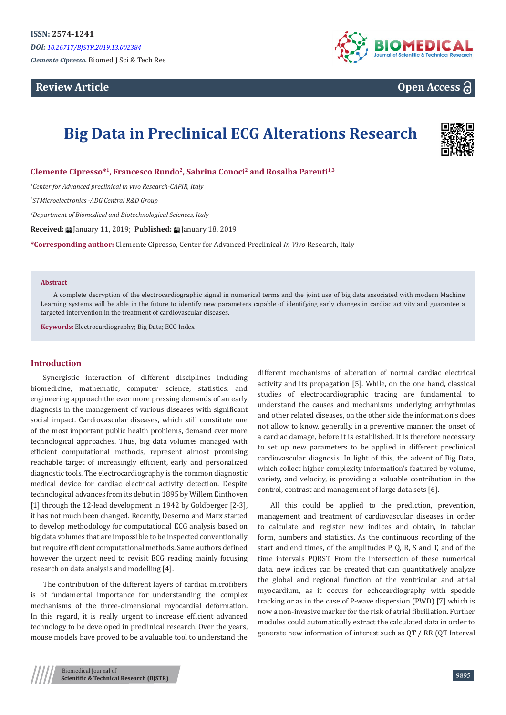## **Review Article**



# **Open Access**

# **Big Data in Preclinical ECG Alterations Research**



**Clemente Cipresso\*<sup>1</sup>, Francesco Rundo<sup>2</sup>, Sabrina Conoci<sup>2</sup> and Rosalba Parenti1,3**

*1 Center for Advanced preclinical in vivo Research-CAPIR, Italy*

*2 STMicroelectronics -ADG Central R&D Group*

*3 Department of Biomedical and Biotechnological Sciences, Italy*

**Received:** January 11, 2019; **Published:** January 18, 2019

**\*Corresponding author:** Clemente Cipresso, Center for Advanced Preclinical *In Vivo* Research, Italy

#### **Abstract**

A complete decryption of the electrocardiographic signal in numerical terms and the joint use of big data associated with modern Machine Learning systems will be able in the future to identify new parameters capable of identifying early changes in cardiac activity and guarantee a targeted intervention in the treatment of cardiovascular diseases.

**Keywords:** Electrocardiography; Big Data; ECG Index

### **Introduction**

Synergistic interaction of different disciplines including biomedicine, mathematic, computer science, statistics, and engineering approach the ever more pressing demands of an early diagnosis in the management of various diseases with significant social impact. Cardiovascular diseases, which still constitute one of the most important public health problems, demand ever more technological approaches. Thus, big data volumes managed with efficient computational methods, represent almost promising reachable target of increasingly efficient, early and personalized diagnostic tools. The electrocardiography is the common diagnostic medical device for cardiac electrical activity detection. Despite technological advances from its debut in 1895 by Willem Einthoven [1] through the 12-lead development in 1942 by Goldberger [2-3], it has not much been changed. Recently, Deserno and Marx started to develop methodology for computational ECG analysis based on big data volumes that are impossible to be inspected conventionally but require efficient computational methods. Same authors defined however the urgent need to revisit ECG reading mainly focusing research on data analysis and modelling [4].

The contribution of the different layers of cardiac microfibers is of fundamental importance for understanding the complex mechanisms of the three-dimensional myocardial deformation. In this regard, it is really urgent to increase efficient advanced technology to be developed in preclinical research. Over the years, mouse models have proved to be a valuable tool to understand the

different mechanisms of alteration of normal cardiac electrical activity and its propagation [5]. While, on the one hand, classical studies of electrocardiographic tracing are fundamental to understand the causes and mechanisms underlying arrhythmias and other related diseases, on the other side the information's does not allow to know, generally, in a preventive manner, the onset of a cardiac damage, before it is established. It is therefore necessary to set up new parameters to be applied in different preclinical cardiovascular diagnosis. In light of this, the advent of Big Data, which collect higher complexity information's featured by volume, variety, and velocity, is providing a valuable contribution in the control, contrast and management of large data sets [6].

All this could be applied to the prediction, prevention, management and treatment of cardiovascular diseases in order to calculate and register new indices and obtain, in tabular form, numbers and statistics. As the continuous recording of the start and end times, of the amplitudes P, Q, R, S and T, and of the time intervals PQRST. From the intersection of these numerical data, new indices can be created that can quantitatively analyze the global and regional function of the ventricular and atrial myocardium, as it occurs for echocardiography with speckle tracking or as in the case of P-wave dispersion (PWD) [7] which is now a non-invasive marker for the risk of atrial fibrillation. Further modules could automatically extract the calculated data in order to generate new information of interest such as QT / RR (QT Interval